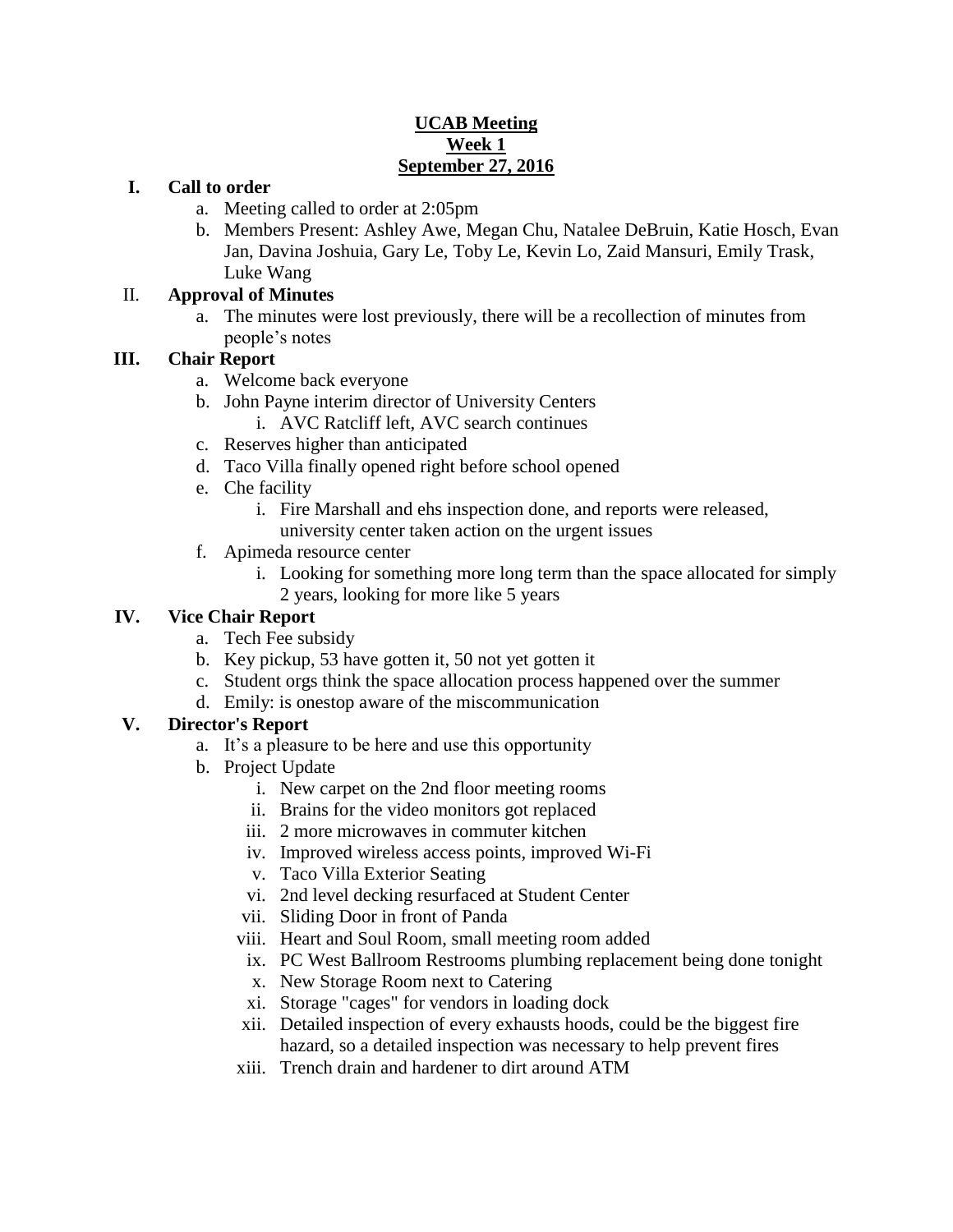## **UCAB Meeting Week 1 September 27, 2016**

### **I. Call to order**

- a. Meeting called to order at 2:05pm
- b. Members Present: Ashley Awe, Megan Chu, Natalee DeBruin, Katie Hosch, Evan Jan, Davina Joshuia, Gary Le, Toby Le, Kevin Lo, Zaid Mansuri, Emily Trask, Luke Wang

## II. **Approval of Minutes**

a. The minutes were lost previously, there will be a recollection of minutes from people's notes

# **III. Chair Report**

- a. Welcome back everyone
- b. John Payne interim director of University Centers
	- i. AVC Ratcliff left, AVC search continues
- c. Reserves higher than anticipated
- d. Taco Villa finally opened right before school opened
- e. Che facility
	- i. Fire Marshall and ehs inspection done, and reports were released, university center taken action on the urgent issues
- f. Apimeda resource center
	- i. Looking for something more long term than the space allocated for simply 2 years, looking for more like 5 years

# **IV. Vice Chair Report**

- a. Tech Fee subsidy
- b. Key pickup, 53 have gotten it, 50 not yet gotten it
- c. Student orgs think the space allocation process happened over the summer
- d. Emily: is onestop aware of the miscommunication

# **V. Director's Report**

- a. It's a pleasure to be here and use this opportunity
- b. Project Update
	- i. New carpet on the 2nd floor meeting rooms
	- ii. Brains for the video monitors got replaced
	- iii. 2 more microwaves in commuter kitchen
	- iv. Improved wireless access points, improved Wi-Fi
	- v. Taco Villa Exterior Seating
	- vi. 2nd level decking resurfaced at Student Center
	- vii. Sliding Door in front of Panda
	- viii. Heart and Soul Room, small meeting room added
	- ix. PC West Ballroom Restrooms plumbing replacement being done tonight
	- x. New Storage Room next to Catering
	- xi. Storage "cages" for vendors in loading dock
	- xii. Detailed inspection of every exhausts hoods, could be the biggest fire hazard, so a detailed inspection was necessary to help prevent fires
	- xiii. Trench drain and hardener to dirt around ATM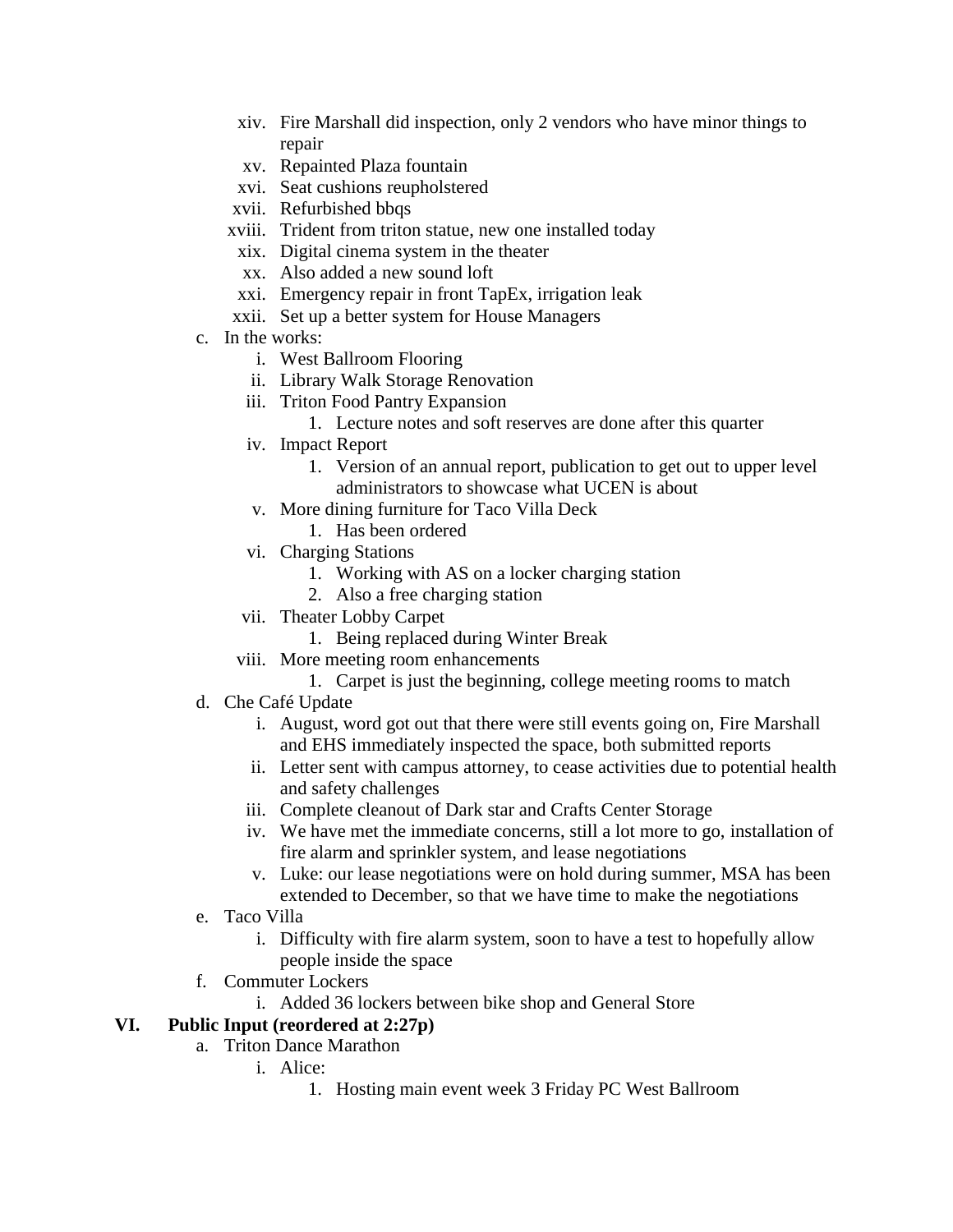- xiv. Fire Marshall did inspection, only 2 vendors who have minor things to repair
- xv. Repainted Plaza fountain
- xvi. Seat cushions reupholstered
- xvii. Refurbished bbqs
- xviii. Trident from triton statue, new one installed today
- xix. Digital cinema system in the theater
- xx. Also added a new sound loft
- xxi. Emergency repair in front TapEx, irrigation leak
- xxii. Set up a better system for House Managers
- c. In the works:
	- i. West Ballroom Flooring
	- ii. Library Walk Storage Renovation
	- iii. Triton Food Pantry Expansion
		- 1. Lecture notes and soft reserves are done after this quarter
	- iv. Impact Report
		- 1. Version of an annual report, publication to get out to upper level administrators to showcase what UCEN is about
	- v. More dining furniture for Taco Villa Deck
		- 1. Has been ordered
	- vi. Charging Stations
		- 1. Working with AS on a locker charging station
		- 2. Also a free charging station
	- vii. Theater Lobby Carpet
		- 1. Being replaced during Winter Break
	- viii. More meeting room enhancements
		- 1. Carpet is just the beginning, college meeting rooms to match
- d. Che Café Update
	- i. August, word got out that there were still events going on, Fire Marshall and EHS immediately inspected the space, both submitted reports
	- ii. Letter sent with campus attorney, to cease activities due to potential health and safety challenges
	- iii. Complete cleanout of Dark star and Crafts Center Storage
	- iv. We have met the immediate concerns, still a lot more to go, installation of fire alarm and sprinkler system, and lease negotiations
	- v. Luke: our lease negotiations were on hold during summer, MSA has been extended to December, so that we have time to make the negotiations
- e. Taco Villa
	- i. Difficulty with fire alarm system, soon to have a test to hopefully allow people inside the space
- f. Commuter Lockers
	- i. Added 36 lockers between bike shop and General Store

## **VI. Public Input (reordered at 2:27p)**

- a. Triton Dance Marathon
	- i. Alice:
		- 1. Hosting main event week 3 Friday PC West Ballroom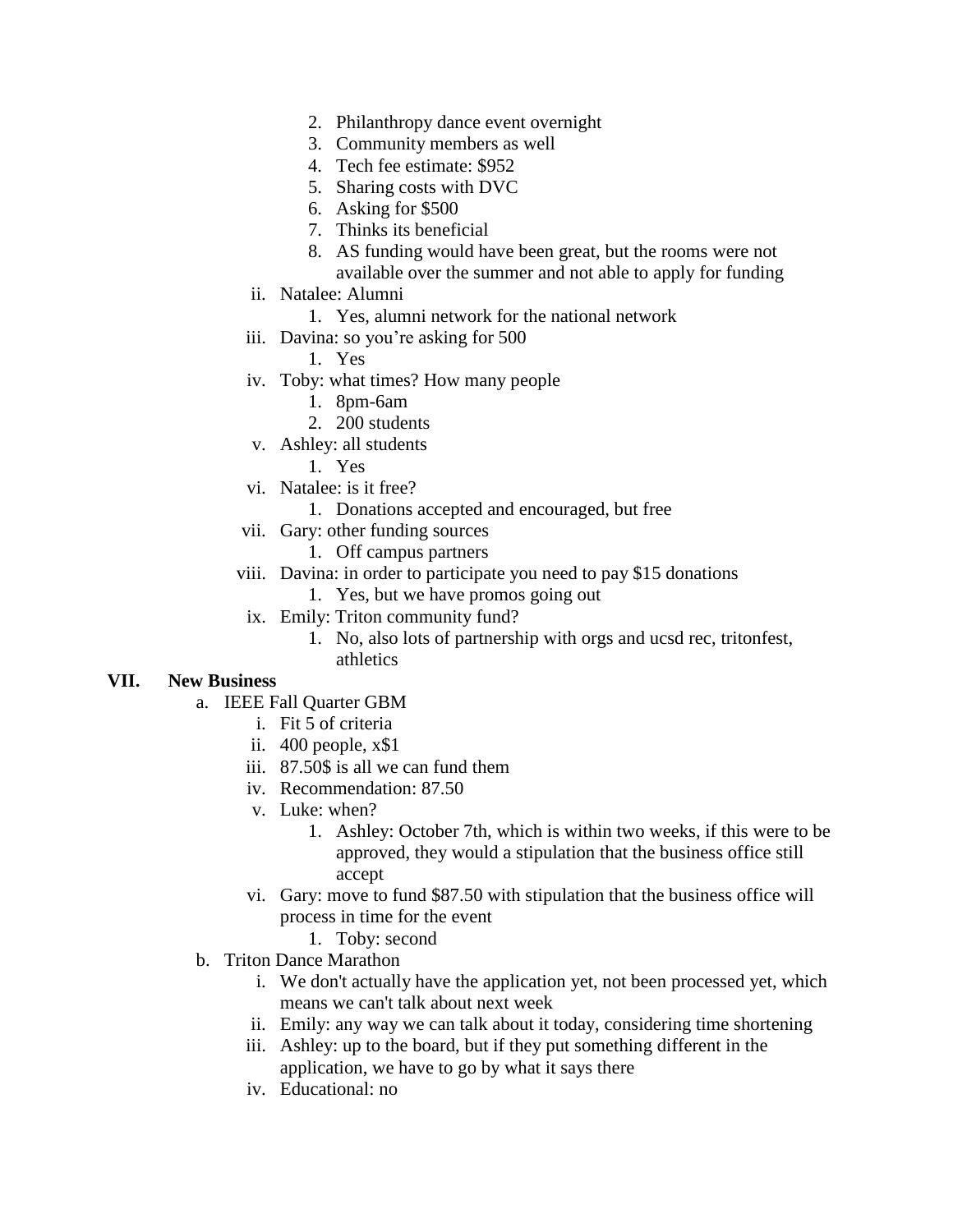- 2. Philanthropy dance event overnight
- 3. Community members as well
- 4. Tech fee estimate: \$952
- 5. Sharing costs with DVC
- 6. Asking for \$500
- 7. Thinks its beneficial
- 8. AS funding would have been great, but the rooms were not available over the summer and not able to apply for funding
- ii. Natalee: Alumni
	- 1. Yes, alumni network for the national network
- iii. Davina: so you're asking for 500
	- 1. Yes
- iv. Toby: what times? How many people
	- 1. 8pm-6am
	- 2. 200 students
- v. Ashley: all students
	- 1. Yes
- vi. Natalee: is it free?
	- 1. Donations accepted and encouraged, but free
- vii. Gary: other funding sources
	- 1. Off campus partners
- viii. Davina: in order to participate you need to pay \$15 donations
	- 1. Yes, but we have promos going out
- ix. Emily: Triton community fund?
	- 1. No, also lots of partnership with orgs and ucsd rec, tritonfest, athletics

#### **VII. New Business**

- a. IEEE Fall Quarter GBM
	- i. Fit 5 of criteria
	- ii. 400 people, x\$1
	- iii. 87.50\$ is all we can fund them
	- iv. Recommendation: 87.50
	- v. Luke: when?
		- 1. Ashley: October 7th, which is within two weeks, if this were to be approved, they would a stipulation that the business office still accept
	- vi. Gary: move to fund \$87.50 with stipulation that the business office will process in time for the event
		- 1. Toby: second
- b. Triton Dance Marathon
	- i. We don't actually have the application yet, not been processed yet, which means we can't talk about next week
	- ii. Emily: any way we can talk about it today, considering time shortening
	- iii. Ashley: up to the board, but if they put something different in the application, we have to go by what it says there
	- iv. Educational: no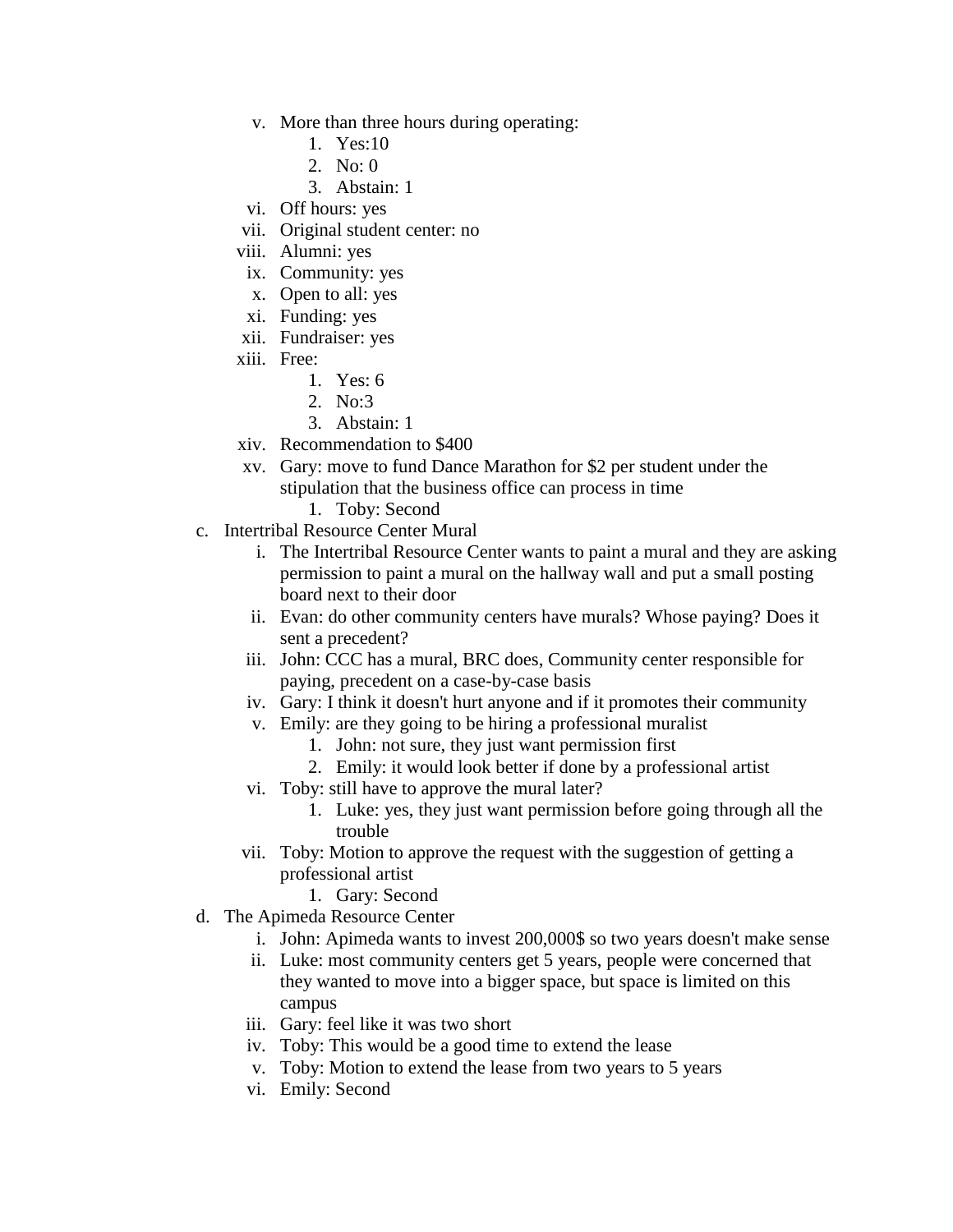- v. More than three hours during operating:
	- 1. Yes:10
	- 2. No: 0
	- 3. Abstain: 1
- vi. Off hours: yes
- vii. Original student center: no
- viii. Alumni: yes
- ix. Community: yes
- x. Open to all: yes
- xi. Funding: yes
- xii. Fundraiser: yes
- xiii. Free:
	- 1. Yes: 6
	- 2. No:3
	- 3. Abstain: 1
- xiv. Recommendation to \$400
- xv. Gary: move to fund Dance Marathon for \$2 per student under the stipulation that the business office can process in time
	- 1. Toby: Second
- c. Intertribal Resource Center Mural
	- i. The Intertribal Resource Center wants to paint a mural and they are asking permission to paint a mural on the hallway wall and put a small posting board next to their door
	- ii. Evan: do other community centers have murals? Whose paying? Does it sent a precedent?
	- iii. John: CCC has a mural, BRC does, Community center responsible for paying, precedent on a case-by-case basis
	- iv. Gary: I think it doesn't hurt anyone and if it promotes their community
	- v. Emily: are they going to be hiring a professional muralist
		- 1. John: not sure, they just want permission first
		- 2. Emily: it would look better if done by a professional artist
	- vi. Toby: still have to approve the mural later?
		- 1. Luke: yes, they just want permission before going through all the trouble
	- vii. Toby: Motion to approve the request with the suggestion of getting a professional artist
		- 1. Gary: Second
- d. The Apimeda Resource Center
	- i. John: Apimeda wants to invest 200,000\$ so two years doesn't make sense
	- ii. Luke: most community centers get 5 years, people were concerned that they wanted to move into a bigger space, but space is limited on this campus
	- iii. Gary: feel like it was two short
	- iv. Toby: This would be a good time to extend the lease
	- v. Toby: Motion to extend the lease from two years to 5 years
	- vi. Emily: Second